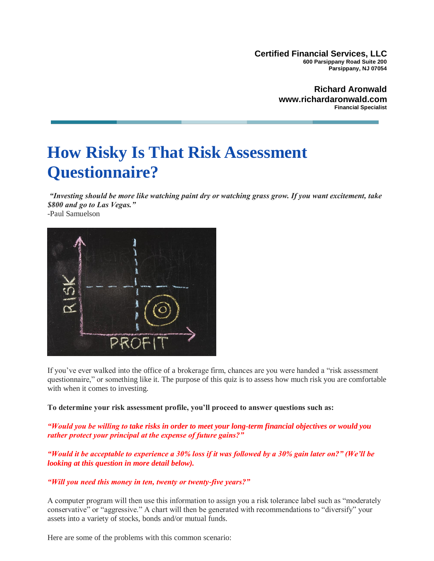**Certified Financial Services, LLC 600 Parsippany Road Suite 200 Parsippany, NJ 07054**

> **Richard Aronwald www.richardaronwald.com Financial Specialist**

# **How Risky Is That Risk Assessment Questionnaire?**

*"Investing should be more like watching paint dry or watching grass grow. If you want excitement, take \$800 and go to Las Vegas."*

-Paul Samuelson



If you've ever walked into the office of a brokerage firm, chances are you were handed a "risk assessment questionnaire," or something like it. The purpose of this quiz is to assess how much risk you are comfortable with when it comes to investing.

**To determine your risk assessment profile, you'll proceed to answer questions such as:**

*"Would you be willing to take risks in order to meet your long-term financial objectives or would you rather protect your principal at the expense of future gains?"*

*"Would it be acceptable to experience a 30% loss if it was followed by a 30% gain later on?" (We'll be looking at this question in more detail below).*

## *"Will you need this money in ten, twenty or twenty-five years?"*

A computer program will then use this information to assign you a risk tolerance label such as "moderately conservative" or "aggressive." A chart will then be generated with recommendations to "diversify" your assets into a variety of stocks, bonds and/or mutual funds.

Here are some of the problems with this common scenario: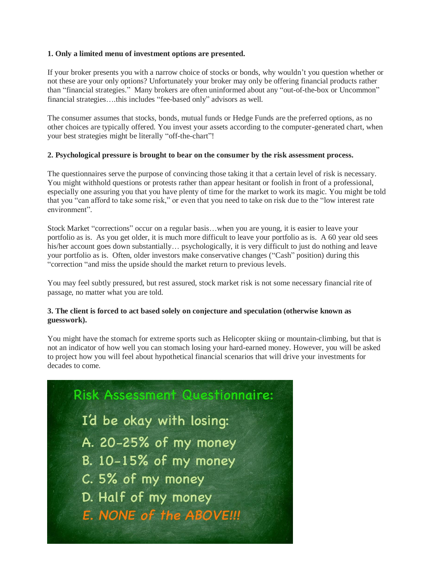#### **1. Only a limited menu of investment options are presented.**

If your broker presents you with a narrow choice of stocks or bonds, why wouldn't you question whether or not these are your only options? Unfortunately your broker may only be offering financial products rather than "financial strategies." Many brokers are often uninformed about any "out-of-the-box or Uncommon" financial strategies….this includes "fee-based only" advisors as well.

The consumer assumes that stocks, bonds, mutual funds or Hedge Funds are the preferred options, as no other choices are typically offered. You invest your assets according to the computer-generated chart, when your best strategies might be literally "off-the-chart"!

#### **2. Psychological pressure is brought to bear on the consumer by the risk assessment process.**

The questionnaires serve the purpose of convincing those taking it that a certain level of risk is necessary. You might withhold questions or protests rather than appear hesitant or foolish in front of a professional, especially one assuring you that you have plenty of time for the market to work its magic. You might be told that you "can afford to take some risk," or even that you need to take on risk due to the "low interest rate environment".

Stock Market "corrections" occur on a regular basis…when you are young, it is easier to leave your portfolio as is. As you get older, it is much more difficult to leave your portfolio as is. A 60 year old sees his/her account goes down substantially... psychologically, it is very difficult to just do nothing and leave your portfolio as is. Often, older investors make conservative changes ("Cash" position) during this "correction "and miss the upside should the market return to previous levels.

You may feel subtly pressured, but rest assured, stock market risk is not some necessary financial rite of passage, no matter what you are told.

## **3. The client is forced to act based solely on conjecture and speculation (otherwise known as guesswork).**

You might have the stomach for extreme sports such as Helicopter skiing or mountain-climbing, but that is not an indicator of how well you can stomach losing your hard-earned money. However, you will be asked to project how you will feel about hypothetical financial scenarios that will drive your investments for decades to come.

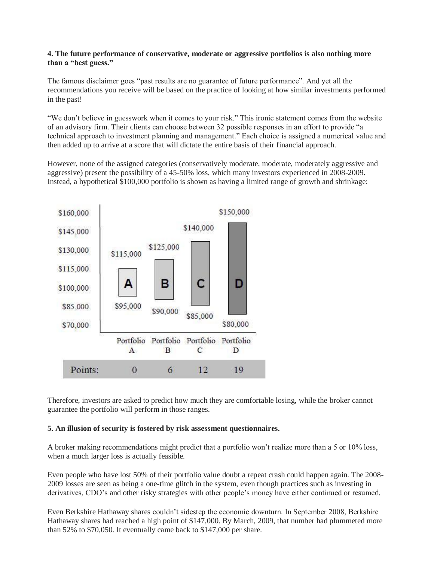## **4. The future performance of conservative, moderate or aggressive portfolios is also nothing more than a "best guess."**

The famous disclaimer goes "past results are no guarantee of future performance". And yet all the recommendations you receive will be based on the practice of looking at how similar investments performed in the past!

"We don't believe in guesswork when it comes to your risk." This ironic statement comes from the website of an advisory firm. Their clients can choose between 32 possible responses in an effort to provide "a technical approach to investment planning and management." Each choice is assigned a numerical value and then added up to arrive at a score that will dictate the entire basis of their financial approach.

However, none of the assigned categories (conservatively moderate, moderate, moderately aggressive and aggressive) present the possibility of a 45-50% loss, which many investors experienced in 2008-2009. Instead, a hypothetical \$100,000 portfolio is shown as having a limited range of growth and shrinkage:



Therefore, investors are asked to predict how much they are comfortable losing, while the broker cannot guarantee the portfolio will perform in those ranges.

## **5. An illusion of security is fostered by risk assessment questionnaires.**

A broker making recommendations might predict that a portfolio won't realize more than a 5 or 10% loss, when a much larger loss is actually feasible.

Even people who have lost 50% of their portfolio value doubt a repeat crash could happen again. The 2008- 2009 losses are seen as being a one-time glitch in the system, even though practices such as investing in derivatives, CDO's and other risky strategies with other people's money have either continued or resumed.

Even Berkshire Hathaway shares couldn't sidestep the economic downturn. In September 2008, Berkshire Hathaway shares had reached a high point of \$147,000. By March, 2009, that number had plummeted more than 52% to \$70,050. It eventually came back to \$147,000 per share.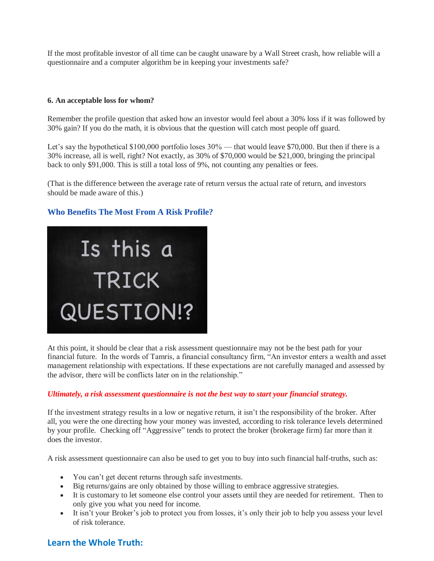If the most profitable investor of all time can be caught unaware by a Wall Street crash, how reliable will a questionnaire and a computer algorithm be in keeping your investments safe?

#### **6. An acceptable loss for whom?**

Remember the profile question that asked how an investor would feel about a 30% loss if it was followed by 30% gain? If you do the math, it is obvious that the question will catch most people off guard.

Let's say the hypothetical \$100,000 portfolio loses  $30\%$  — that would leave \$70,000. But then if there is a 30% increase, all is well, right? Not exactly, as 30% of \$70,000 would be \$21,000, bringing the principal back to only \$91,000. This is still a total loss of 9%, not counting any penalties or fees.

(That is the difference between the average rate of return versus the actual rate of return, and investors should be made aware of this.)

## **Who Benefits The Most From A Risk Profile?**



At this point, it should be clear that a risk assessment questionnaire may not be the best path for your financial future. In the words of Tamris, a financial consultancy firm, "An investor enters a wealth and asset management relationship with expectations. If these expectations are not carefully managed and assessed by the advisor, there will be conflicts later on in the relationship."

## *Ultimately, a risk assessment questionnaire is not the best way to start your financial strategy.*

If the investment strategy results in a low or negative return, it isn't the responsibility of the broker. After all, you were the one directing how your money was invested, according to risk tolerance levels determined by your profile. Checking off "Aggressive" tends to protect the broker (brokerage firm) far more than it does the investor.

A risk assessment questionnaire can also be used to get you to buy into such financial half-truths, such as:

- You can't get decent returns through safe investments.
- Big returns/gains are only obtained by those willing to embrace aggressive strategies.
- It is customary to let someone else control your assets until they are needed for retirement. Then to only give you what you need for income.
- It isn't your Broker's job to protect you from losses, it's only their job to help you assess your level of risk tolerance.

## **Learn the Whole Truth:**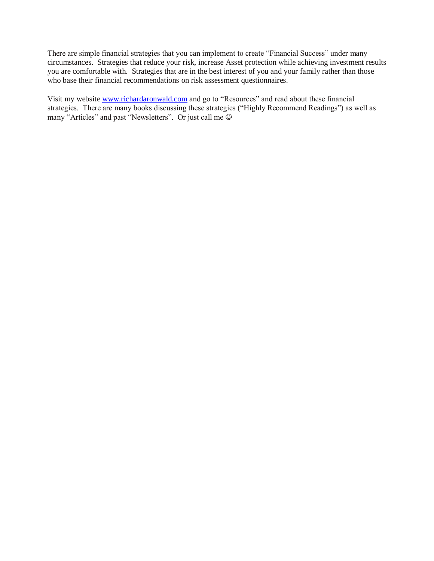There are simple financial strategies that you can implement to create "Financial Success" under many circumstances. Strategies that reduce your risk, increase Asset protection while achieving investment results you are comfortable with. Strategies that are in the best interest of you and your family rather than those who base their financial recommendations on risk assessment questionnaires.

Visit my website [www.richardaronwald.com](http://www.richardaronwald.com/) and go to "Resources" and read about these financial strategies. There are many books discussing these strategies ("Highly Recommend Readings") as well as many "Articles" and past "Newsletters". Or just call me  $\odot$